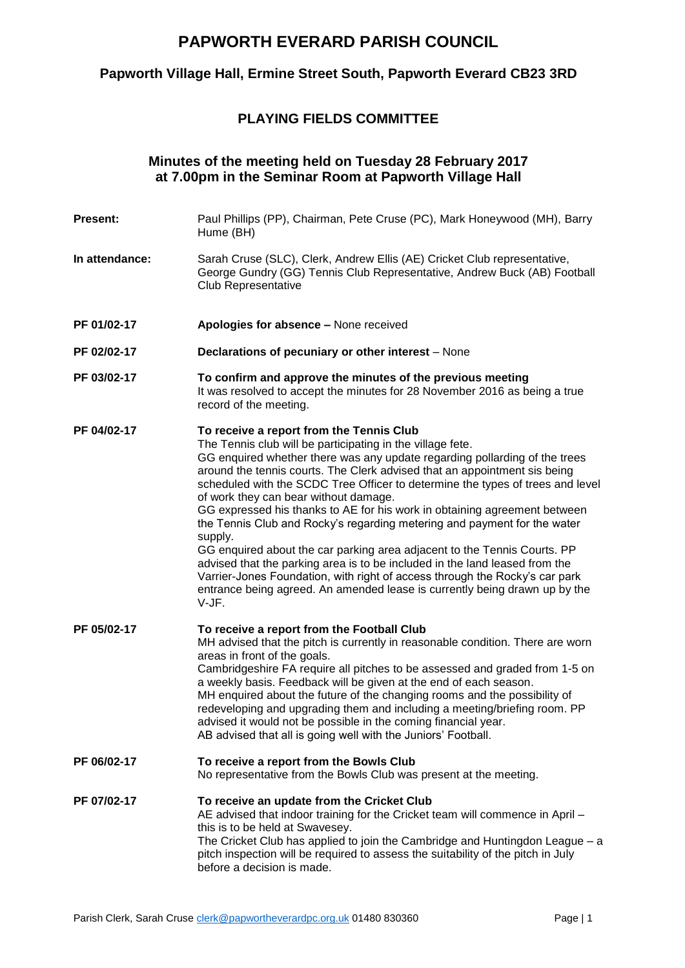# **PAPWORTH EVERARD PARISH COUNCIL**

### **Papworth Village Hall, Ermine Street South, Papworth Everard CB23 3RD**

## **PLAYING FIELDS COMMITTEE**

### **Minutes of the meeting held on Tuesday 28 February 2017 at 7.00pm in the Seminar Room at Papworth Village Hall**

| <b>Present:</b> | Paul Phillips (PP), Chairman, Pete Cruse (PC), Mark Honeywood (MH), Barry<br>Hume (BH)                                                                                                                                                                                                                                                                                                                                                                                                                                                                                                                                                                                                                                                                                                                                                                                                            |
|-----------------|---------------------------------------------------------------------------------------------------------------------------------------------------------------------------------------------------------------------------------------------------------------------------------------------------------------------------------------------------------------------------------------------------------------------------------------------------------------------------------------------------------------------------------------------------------------------------------------------------------------------------------------------------------------------------------------------------------------------------------------------------------------------------------------------------------------------------------------------------------------------------------------------------|
| In attendance:  | Sarah Cruse (SLC), Clerk, Andrew Ellis (AE) Cricket Club representative,<br>George Gundry (GG) Tennis Club Representative, Andrew Buck (AB) Football<br><b>Club Representative</b>                                                                                                                                                                                                                                                                                                                                                                                                                                                                                                                                                                                                                                                                                                                |
| PF 01/02-17     | Apologies for absence - None received                                                                                                                                                                                                                                                                                                                                                                                                                                                                                                                                                                                                                                                                                                                                                                                                                                                             |
| PF 02/02-17     | Declarations of pecuniary or other interest - None                                                                                                                                                                                                                                                                                                                                                                                                                                                                                                                                                                                                                                                                                                                                                                                                                                                |
| PF 03/02-17     | To confirm and approve the minutes of the previous meeting<br>It was resolved to accept the minutes for 28 November 2016 as being a true<br>record of the meeting.                                                                                                                                                                                                                                                                                                                                                                                                                                                                                                                                                                                                                                                                                                                                |
| PF 04/02-17     | To receive a report from the Tennis Club<br>The Tennis club will be participating in the village fete.<br>GG enquired whether there was any update regarding pollarding of the trees<br>around the tennis courts. The Clerk advised that an appointment sis being<br>scheduled with the SCDC Tree Officer to determine the types of trees and level<br>of work they can bear without damage.<br>GG expressed his thanks to AE for his work in obtaining agreement between<br>the Tennis Club and Rocky's regarding metering and payment for the water<br>supply.<br>GG enquired about the car parking area adjacent to the Tennis Courts. PP<br>advised that the parking area is to be included in the land leased from the<br>Varrier-Jones Foundation, with right of access through the Rocky's car park<br>entrance being agreed. An amended lease is currently being drawn up by the<br>V-JF. |
| PF 05/02-17     | To receive a report from the Football Club<br>MH advised that the pitch is currently in reasonable condition. There are worn<br>areas in front of the goals.<br>Cambridgeshire FA require all pitches to be assessed and graded from 1-5 on<br>a weekly basis. Feedback will be given at the end of each season.<br>MH enquired about the future of the changing rooms and the possibility of<br>redeveloping and upgrading them and including a meeting/briefing room. PP<br>advised it would not be possible in the coming financial year.<br>AB advised that all is going well with the Juniors' Football.                                                                                                                                                                                                                                                                                     |
| PF 06/02-17     | To receive a report from the Bowls Club<br>No representative from the Bowls Club was present at the meeting.                                                                                                                                                                                                                                                                                                                                                                                                                                                                                                                                                                                                                                                                                                                                                                                      |
| PF 07/02-17     | To receive an update from the Cricket Club<br>AE advised that indoor training for the Cricket team will commence in April -<br>this is to be held at Swavesey.<br>The Cricket Club has applied to join the Cambridge and Huntingdon League - a<br>pitch inspection will be required to assess the suitability of the pitch in July<br>before a decision is made.                                                                                                                                                                                                                                                                                                                                                                                                                                                                                                                                  |